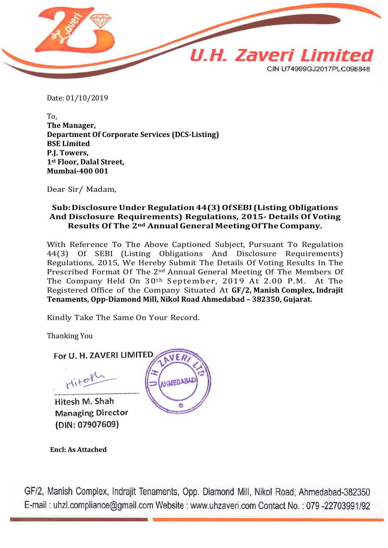

Date: 01/10/2019

To, **The Manager, Department Of Corporate Services (DCS‐Listing) BSE Limited P.J. Towers, 1st Floor, Dalal Street, Mumbai‐400 001**

Dear Sir/ Madam,

#### **Sub:Disclosure UnderRegulation 44(3)OfSEBI (Listing Obligations And Disclosure Requirements) Regulations, 2015- Details Of Voting Results Of The 2nd AnnualGeneral MeetingOfTheCompany.**

With Reference To The Above Captioned Subject, Pursuant To Regulation 44(3) Of SEBI (Listing Obligations And Disclosure Requirements) Regulations, 2015, We Hereby Submit The Details Of Voting Results In The Prescribed Format Of The 2<sup>nd</sup> Annual General Meeting Of The Members Of The Company Held On 30<sup>th</sup> September, 2019 At 2.00 P.M. At The The Company Held On  $30<sup>th</sup>$  September, 2019 At 2.00 P.M. Registered Office of the Company Situated At **GF/2, Manish Complex, Indrajit Tenaments, Opp-Diamond Mill, Nikol Road Ahmedabad – 382350, Gujarat.**

Kindly Take The Same On Your Record.

Thanking You

For U. H. ZAVERI LIMITED Hitel

Hitesh M. Shah **Managing Director** (DIN: 07907609)

 **Encl: As Attached**



GF/2, Manish Complex, Indrajit Tenaments, Opp. Diamond Mill, Nikol Road, Ahmedabad-382350 E-mail: uhzl.compliance@gmail.com Website: www.uhzaveri.com Contact No.: 079-22703991/92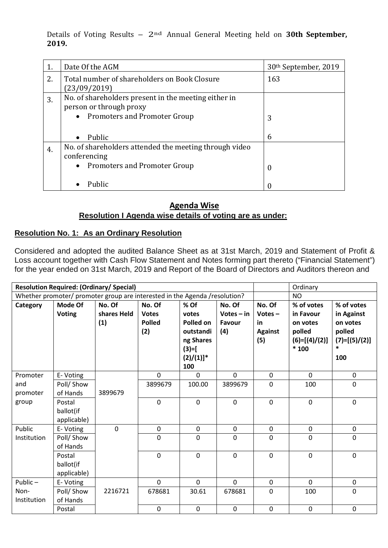Details of Voting Results – 2nd Annual General Meeting held on **30th September, 2019.**

| 1. | Date Of the AGM                                                                                                            | 30 <sup>th</sup> September, 2019 |
|----|----------------------------------------------------------------------------------------------------------------------------|----------------------------------|
| 2. | Total number of shareholders on Book Closure<br>(23/09/2019)                                                               | 163                              |
| 3. | No. of shareholders present in the meeting either in<br>person or through proxy<br>• Promoters and Promoter Group          | 3                                |
|    | Public<br>$\bullet$                                                                                                        | 6                                |
| 4. | No. of shareholders attended the meeting through video<br>conferencing<br><b>Promoters and Promoter Group</b><br>$\bullet$ | $\boldsymbol{0}$                 |
|    | Public                                                                                                                     | 0                                |

## **Agenda Wise Resolution I Agenda wise details of voting are as under:**

## **Resolution No. 1: As an Ordinary Resolution**

Considered and adopted the audited Balance Sheet as at 31st March, 2019 and Statement of Profit & Loss account together with Cash Flow Statement and Notes forming part thereto ("Financial Statement") for the year ended on 31st March, 2019 and Report of the Board of Directors and Auditors thereon and

| <b>Resolution Required: (Ordinary/ Special)</b>                             |                                    |                    |                                      |                                                                                            |                               | Ordinary                                 |                                                              |                                                                      |
|-----------------------------------------------------------------------------|------------------------------------|--------------------|--------------------------------------|--------------------------------------------------------------------------------------------|-------------------------------|------------------------------------------|--------------------------------------------------------------|----------------------------------------------------------------------|
| Whether promoter/ promoter group are interested in the Agenda / resolution? |                                    |                    |                                      |                                                                                            |                               | <b>NO</b>                                |                                                              |                                                                      |
| Category                                                                    | Mode Of                            | No. Of             | No. Of                               | % Of                                                                                       | No. Of                        | No. Of                                   | % of votes<br>% of votes                                     |                                                                      |
|                                                                             | <b>Voting</b>                      | shares Held<br>(1) | <b>Votes</b><br><b>Polled</b><br>(2) | votes<br>Polled on<br>outstandi<br>ng Shares<br>$(3)=$ [<br>$(2)/(1)]$ <sup>*</sup><br>100 | $Votes - in$<br>Favour<br>(4) | $Votes -$<br>in<br><b>Against</b><br>(5) | in Favour<br>on votes<br>polled<br>$(6)=[(4)/(2)]$<br>$*100$ | in Against<br>on votes<br>polled<br>$(7)=[(5)/(2)]$<br>$\ast$<br>100 |
| Promoter                                                                    | E-Voting                           |                    | $\mathbf 0$                          | $\mathbf 0$                                                                                | $\mathbf 0$                   | $\mathbf{0}$                             | $\mathbf{0}$                                                 | $\mathbf 0$                                                          |
| and                                                                         | Poll/ Show                         |                    | 3899679                              | 100.00                                                                                     | 3899679                       | $\mathbf 0$                              | 100                                                          | $\mathbf 0$                                                          |
| promoter                                                                    | of Hands                           | 3899679            |                                      |                                                                                            |                               |                                          |                                                              |                                                                      |
| group                                                                       | Postal<br>ballot(if<br>applicable) |                    | $\mathbf 0$                          | $\mathbf 0$                                                                                | $\mathbf{0}$                  | $\mathbf 0$                              | $\mathbf 0$                                                  | $\pmb{0}$                                                            |
| Public                                                                      | E-Voting                           | $\mathbf{0}$       | $\mathbf 0$                          | $\mathbf 0$                                                                                | $\mathbf 0$                   | $\mathbf{0}$                             | $\mathbf 0$                                                  | $\mathbf 0$                                                          |
| Institution                                                                 | Poll/ Show<br>of Hands             |                    | $\mathbf 0$                          | $\mathbf 0$                                                                                | 0                             | $\mathbf 0$                              | $\mathbf 0$                                                  | $\mathbf 0$                                                          |
|                                                                             | Postal<br>ballot(if<br>applicable) |                    | $\mathbf 0$                          | $\mathbf 0$                                                                                | $\mathbf 0$                   | $\mathbf 0$                              | $\mathbf 0$                                                  | $\mathbf 0$                                                          |
| Public $-$                                                                  | E-Voting                           |                    | $\Omega$                             | $\Omega$                                                                                   | $\Omega$                      | $\mathbf 0$                              | $\Omega$                                                     | $\pmb{0}$                                                            |
| Non-                                                                        | Poll/ Show                         | 2216721            | 678681                               | 30.61                                                                                      | 678681                        | $\mathbf 0$                              | 100                                                          | $\mathbf 0$                                                          |
| Institution                                                                 | of Hands                           |                    |                                      |                                                                                            |                               |                                          |                                                              |                                                                      |
|                                                                             | Postal                             |                    | $\pmb{0}$                            | $\mathbf 0$                                                                                | $\mathbf 0$                   | $\mathbf 0$                              | $\boldsymbol{0}$                                             | $\pmb{0}$                                                            |